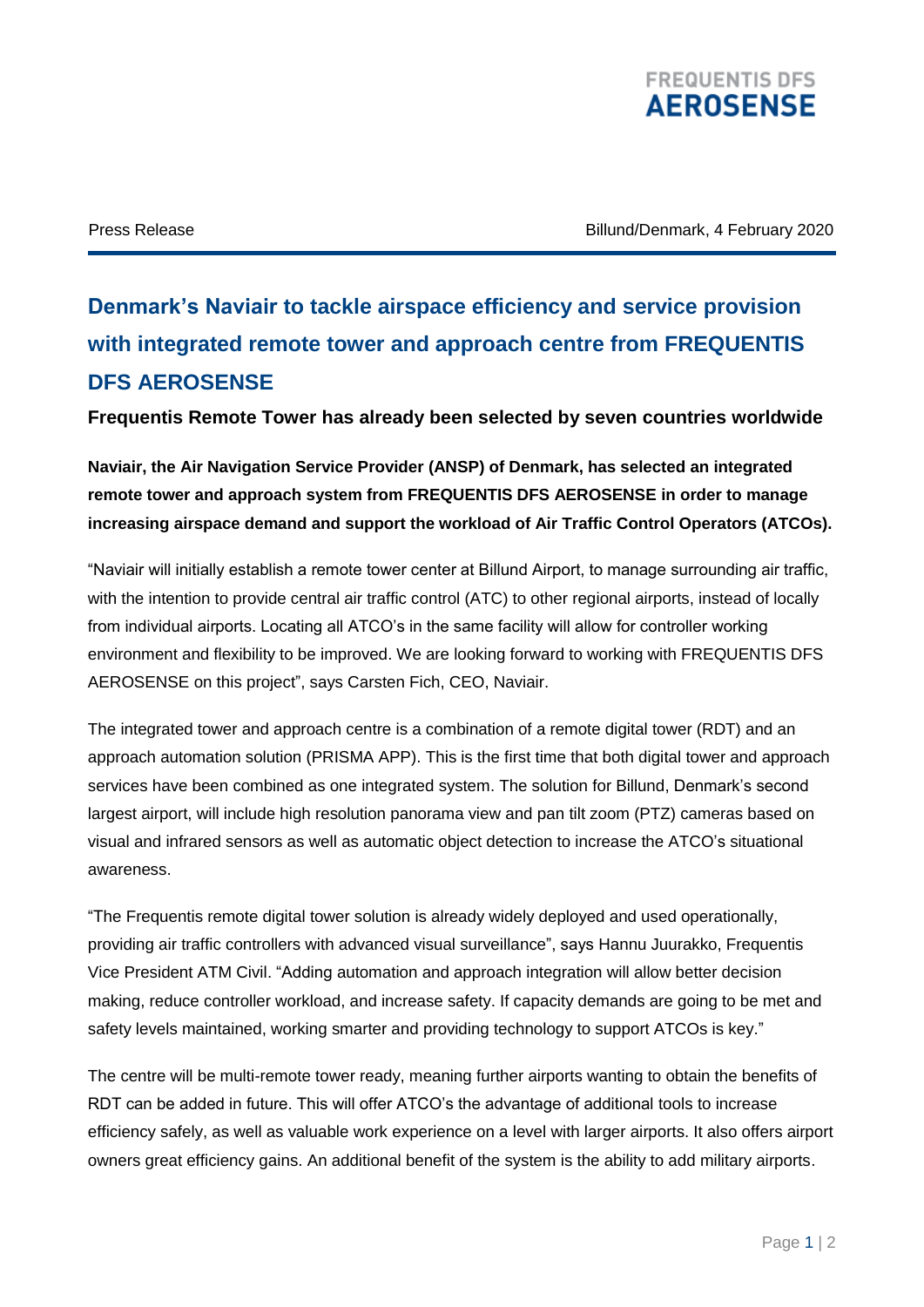

Press Release Billund/Denmark, 4 February 2020

## **Denmark's Naviair to tackle airspace efficiency and service provision with integrated remote tower and approach centre from FREQUENTIS DFS AEROSENSE**

**Frequentis Remote Tower has already been selected by seven countries worldwide**

**Naviair, the Air Navigation Service Provider (ANSP) of Denmark, has selected an integrated remote tower and approach system from FREQUENTIS DFS AEROSENSE in order to manage increasing airspace demand and support the workload of Air Traffic Control Operators (ATCOs).** 

"Naviair will initially establish a remote tower center at Billund Airport, to manage surrounding air traffic, with the intention to provide central air traffic control (ATC) to other regional airports, instead of locally from individual airports. Locating all ATCO's in the same facility will allow for controller working environment and flexibility to be improved. We are looking forward to working with FREQUENTIS DFS AEROSENSE on this project", says Carsten Fich, CEO, Naviair.

The integrated tower and approach centre is a combination of a remote digital tower (RDT) and an approach automation solution (PRISMA APP). This is the first time that both digital tower and approach services have been combined as one integrated system. The solution for Billund, Denmark's second largest airport, will include high resolution panorama view and pan tilt zoom (PTZ) cameras based on visual and infrared sensors as well as automatic object detection to increase the ATCO's situational awareness.

"The Frequentis remote digital tower solution is already widely deployed and used operationally, providing air traffic controllers with advanced visual surveillance", says Hannu Juurakko, Frequentis Vice President ATM Civil. "Adding automation and approach integration will allow better decision making, reduce controller workload, and increase safety. If capacity demands are going to be met and safety levels maintained, working smarter and providing technology to support ATCOs is key."

The centre will be multi-remote tower ready, meaning further airports wanting to obtain the benefits of RDT can be added in future. This will offer ATCO's the advantage of additional tools to increase efficiency safely, as well as valuable work experience on a level with larger airports. It also offers airport owners great efficiency gains. An additional benefit of the system is the ability to add military airports.